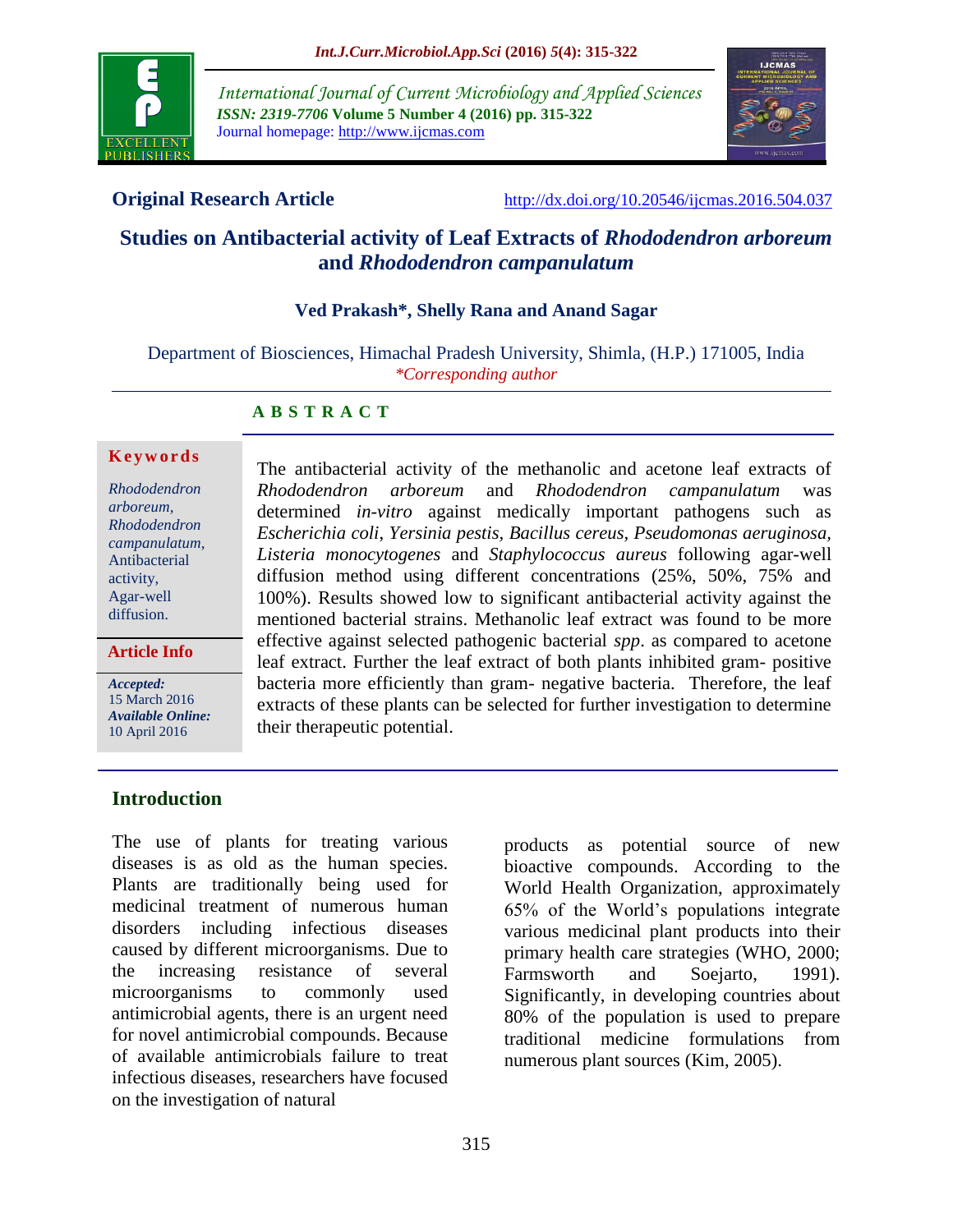

*International Journal of Current Microbiology and Applied Sciences ISSN: 2319-7706* **Volume 5 Number 4 (2016) pp. 315-322** Journal homepage: http://www.ijcmas.com



**Original Research Article** <http://dx.doi.org/10.20546/ijcmas.2016.504.037>

# **Studies on Antibacterial activity of Leaf Extracts of** *Rhododendron arboreum*  **and** *Rhododendron campanulatum*

## **Ved Prakash\*, Shelly Rana and Anand Sagar**

Department of Biosciences, Himachal Pradesh University, Shimla, (H.P.) 171005, India *\*Corresponding author*

#### **A B S T R A C T**

#### **K e y w o r d s**

*Rhododendron arboreum, Rhododendron campanulatum*, Antibacterial activity, Agar-well diffusion.

#### **Article Info**

*Accepted:*  15 March 2016 *Available Online:* 10 April 2016

The antibacterial activity of the methanolic and acetone leaf extracts of *Rhododendron arboreum* and *Rhododendron campanulatum* was determined *in-vitro* against medically important pathogens such as *Escherichia coli*, *Yersinia pestis, Bacillus cereus, Pseudomonas aeruginosa, Listeria monocytogenes* and *Staphylococcus aureus* following agar-well diffusion method using different concentrations (25%, 50%, 75% and 100%). Results showed low to significant antibacterial activity against the mentioned bacterial strains. Methanolic leaf extract was found to be more effective against selected pathogenic bacterial *spp*. as compared to acetone leaf extract. Further the leaf extract of both plants inhibited gram- positive bacteria more efficiently than gram- negative bacteria. Therefore, the leaf extracts of these plants can be selected for further investigation to determine their therapeutic potential.

## **Introduction**

The use of plants for treating various diseases is as old as the human species. Plants are traditionally being used for medicinal treatment of numerous human disorders including infectious diseases caused by different microorganisms. Due to the increasing resistance of several microorganisms to commonly used antimicrobial agents, there is an urgent need for novel antimicrobial compounds. Because of available antimicrobials failure to treat infectious diseases, researchers have focused on the investigation of natural

products as potential source of new bioactive compounds. According to the World Health Organization, approximately 65% of the World's populations integrate various medicinal plant products into their primary health care strategies (WHO, 2000; Farmsworth and Soejarto, 1991). Significantly, in developing countries about 80% of the population is used to prepare traditional medicine formulations from numerous plant sources (Kim, 2005).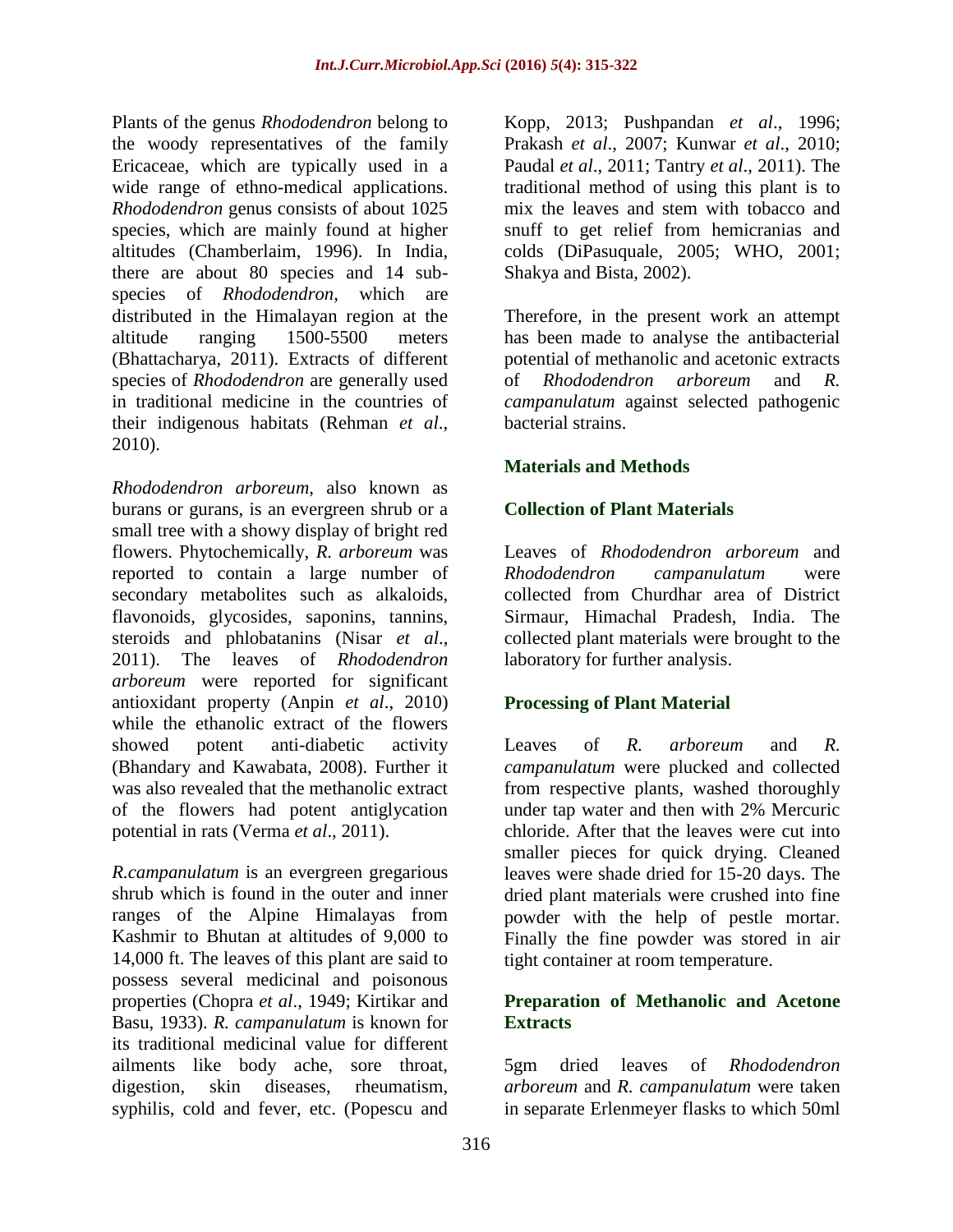Plants of the genus *Rhododendron* belong to the woody representatives of the family Ericaceae, which are typically used in a wide range of ethno-medical applications. *Rhododendron* genus consists of about 1025 species, which are mainly found at higher altitudes (Chamberlaim, 1996). In India, there are about 80 species and 14 subspecies of *Rhododendron*, which are distributed in the Himalayan region at the altitude ranging 1500-5500 meters (Bhattacharya, 2011). Extracts of different species of *Rhododendron* are generally used in traditional medicine in the countries of their indigenous habitats (Rehman *et al*., 2010).

*Rhododendron arboreum*, also known as burans or gurans, is an evergreen shrub or a small tree with a showy display of bright red flowers. Phytochemically, *R. arboreum* was reported to contain a large number of secondary metabolites such as alkaloids, flavonoids, glycosides, saponins, tannins, steroids and phlobatanins (Nisar *et al*., 2011). The leaves of *Rhododendron arboreum* were reported for significant antioxidant property (Anpin *et al*., 2010) while the ethanolic extract of the flowers showed potent anti-diabetic activity (Bhandary and Kawabata, 2008). Further it was also revealed that the methanolic extract of the flowers had potent antiglycation potential in rats (Verma *et al*., 2011).

*R.campanulatum* is an evergreen gregarious shrub which is found in the outer and inner ranges of the Alpine Himalayas from Kashmir to Bhutan at altitudes of 9,000 to 14,000 ft. The leaves of this plant are said to possess several medicinal and poisonous properties (Chopra *et al*., 1949; Kirtikar and Basu, 1933). *R. campanulatum* is known for its traditional medicinal value for different ailments like body ache, sore throat, digestion, skin diseases, rheumatism, syphilis, cold and fever, etc. (Popescu and

Kopp, 2013; Pushpandan *et al*., 1996; Prakash *et al*., 2007; Kunwar *et al*., 2010; Paudal *et al*., 2011; Tantry *et al*., 2011). The traditional method of using this plant is to mix the leaves and stem with tobacco and snuff to get relief from hemicranias and colds (DiPasuquale, 2005; WHO, 2001; Shakya and Bista, 2002).

Therefore, in the present work an attempt has been made to analyse the antibacterial potential of methanolic and acetonic extracts of *Rhododendron arboreum* and *R. campanulatum* against selected pathogenic bacterial strains.

## **Materials and Methods**

## **Collection of Plant Materials**

Leaves of *Rhododendron arboreum* and *Rhododendron campanulatum* were collected from Churdhar area of District Sirmaur, Himachal Pradesh, India. The collected plant materials were brought to the laboratory for further analysis.

## **Processing of Plant Material**

Leaves of *R. arboreum* and *R. campanulatum* were plucked and collected from respective plants, washed thoroughly under tap water and then with 2% Mercuric chloride. After that the leaves were cut into smaller pieces for quick drying. Cleaned leaves were shade dried for 15-20 days. The dried plant materials were crushed into fine powder with the help of pestle mortar. Finally the fine powder was stored in air tight container at room temperature.

## **Preparation of Methanolic and Acetone Extracts**

5gm dried leaves of *Rhododendron arboreum* and *R. campanulatum* were taken in separate Erlenmeyer flasks to which 50ml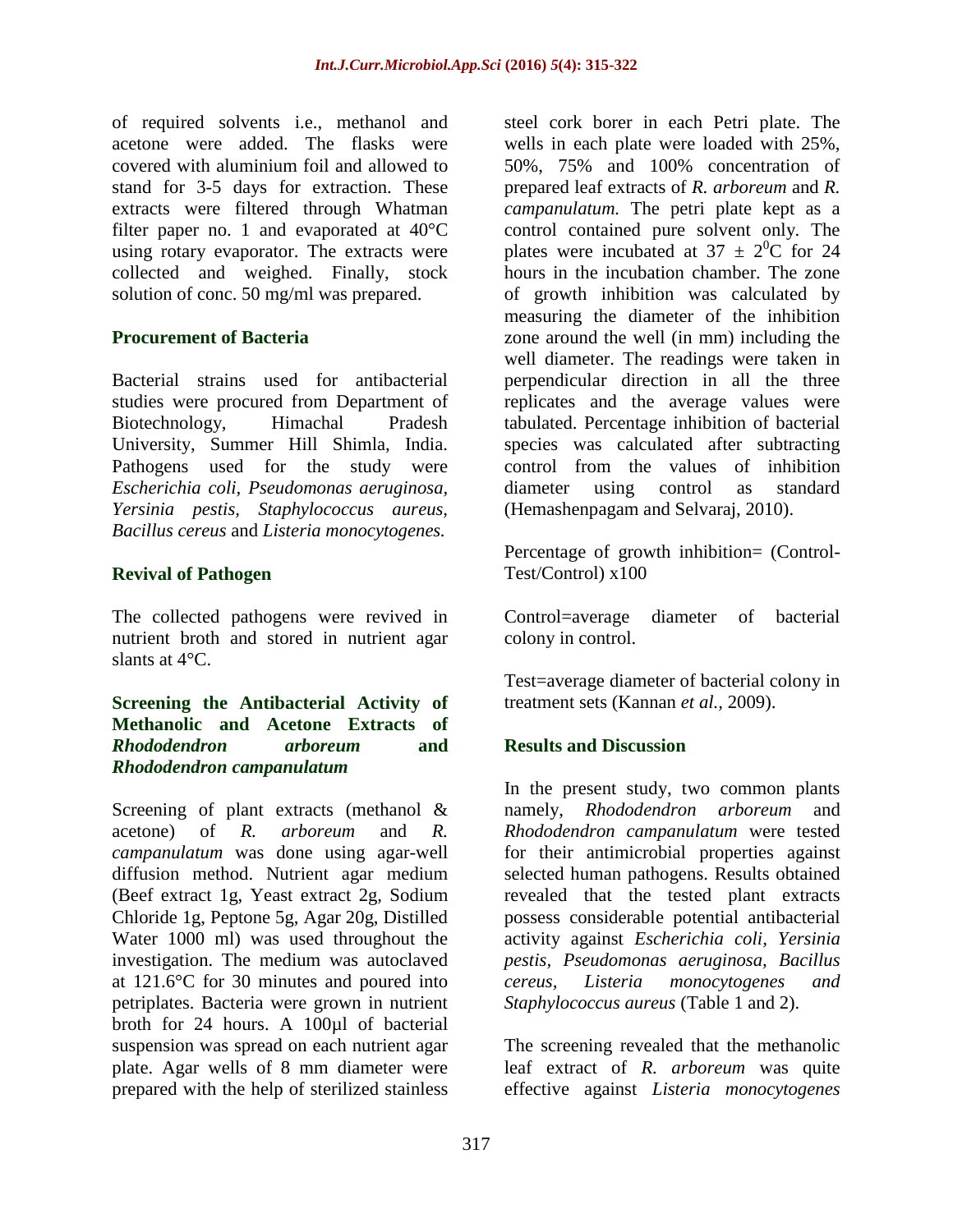of required solvents i.e., methanol and acetone were added. The flasks were covered with aluminium foil and allowed to stand for 3-5 days for extraction. These extracts were filtered through Whatman filter paper no. 1 and evaporated at 40°C using rotary evaporator. The extracts were collected and weighed. Finally, stock solution of conc. 50 mg/ml was prepared.

#### **Procurement of Bacteria**

Bacterial strains used for antibacterial studies were procured from Department of Biotechnology, Himachal Pradesh University, Summer Hill Shimla, India. Pathogens used for the study were *Escherichia coli, Pseudomonas aeruginosa, Yersinia pestis, Staphylococcus aureus, Bacillus cereus* and *Listeria monocytogenes.*

## **Revival of Pathogen**

The collected pathogens were revived in nutrient broth and stored in nutrient agar slants at 4°C.

#### **Screening the Antibacterial Activity of Methanolic and Acetone Extracts of**  *Rhododendron arboreum* **and**  *Rhododendron campanulatum*

Screening of plant extracts (methanol & acetone) of *R. arboreum* and *R. campanulatum* was done using agar-well diffusion method. Nutrient agar medium (Beef extract 1g, Yeast extract 2g, Sodium Chloride 1g, Peptone 5g, Agar 20g, Distilled Water 1000 ml) was used throughout the investigation. The medium was autoclaved at 121.6°C for 30 minutes and poured into petriplates. Bacteria were grown in nutrient broth for 24 hours. A 100µl of bacterial suspension was spread on each nutrient agar plate. Agar wells of 8 mm diameter were prepared with the help of sterilized stainless

steel cork borer in each Petri plate. The wells in each plate were loaded with 25%, 50%, 75% and 100% concentration of prepared leaf extracts of *R. arboreum* and *R. campanulatum.* The petri plate kept as a control contained pure solvent only. The plates were incubated at  $37 \pm 2^{0}$ C for 24 hours in the incubation chamber. The zone of growth inhibition was calculated by measuring the diameter of the inhibition zone around the well (in mm) including the well diameter. The readings were taken in perpendicular direction in all the three replicates and the average values were tabulated. Percentage inhibition of bacterial species was calculated after subtracting control from the values of inhibition diameter using control as standard (Hemashenpagam and Selvaraj, 2010).

Percentage of growth inhibition= (Control-Test/Control) x100

Control=average diameter of bacterial colony in control.

Test=average diameter of bacterial colony in treatment sets (Kannan *et al.,* 2009).

## **Results and Discussion**

In the present study, two common plants namely, *Rhododendron arboreum* and *Rhododendron campanulatum* were tested for their antimicrobial properties against selected human pathogens. Results obtained revealed that the tested plant extracts possess considerable potential antibacterial activity against *Escherichia coli, Yersinia pestis, Pseudomonas aeruginosa, Bacillus cereus, Listeria monocytogenes and Staphylococcus aureus* (Table 1 and 2).

The screening revealed that the methanolic leaf extract of *R. arboreum* was quite effective against *Listeria monocytogenes*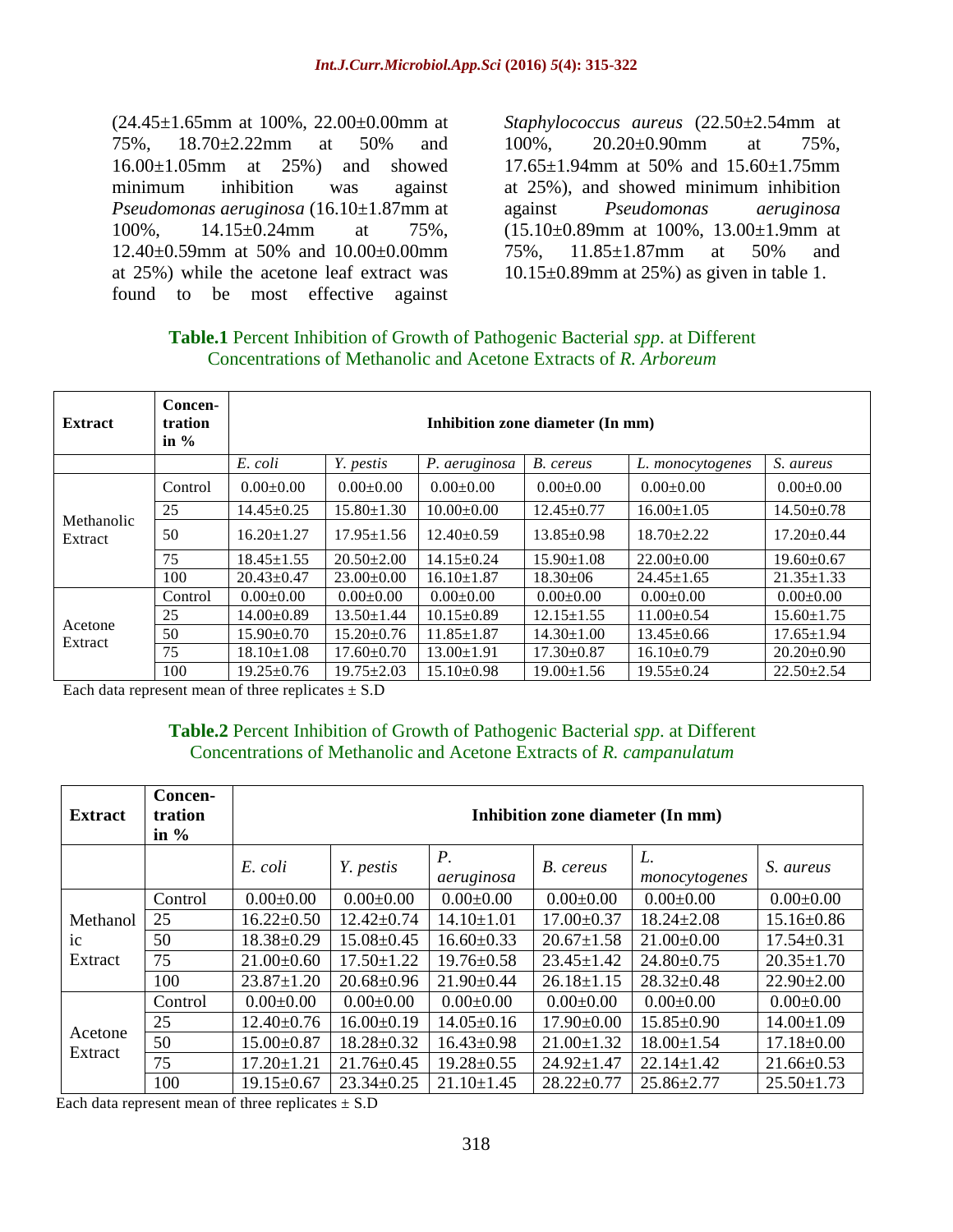(24.45±1.65mm at 100%, 22.00±0.00mm at 75%, 18.70±2.22mm at 50% and 16.00±1.05mm at 25%) and showed minimum inhibition was against *Pseudomonas aeruginosa* (16.10±1.87mm at 100%, 14.15±0.24mm at 75%, 12.40±0.59mm at 50% and 10.00±0.00mm at 25%) while the acetone leaf extract was found to be most effective against

*Staphylococcus aureus* (22.50±2.54mm at 100%, 20.20±0.90mm at 75%, 17.65±1.94mm at 50% and 15.60±1.75mm at 25%), and showed minimum inhibition against *Pseudomonas aeruginosa*  (15.10±0.89mm at 100%, 13.00±1.9mm at 75%, 11.85±1.87mm at 50% and 10.15±0.89mm at 25%) as given in table 1.

## **Table.1** Percent Inhibition of Growth of Pathogenic Bacterial *spp*. at Different Concentrations of Methanolic and Acetone Extracts of *R. Arboreum*

| <b>Extract</b>        | Concen-<br>tration<br>in $\%$ | Inhibition zone diameter (In mm) |                  |                  |                  |                  |                  |  |  |  |
|-----------------------|-------------------------------|----------------------------------|------------------|------------------|------------------|------------------|------------------|--|--|--|
|                       |                               | E. coli                          | Y. pestis        | P. aeruginosa    | B. cereus        | L. monocytogenes | S. aureus        |  |  |  |
| Methanolic<br>Extract | Control                       | $0.00 \pm 0.00$                  | $0.00 \pm 0.00$  | $0.00 \pm 0.00$  | $0.00 \pm 0.00$  | $0.00+0.00$      | $0.00 \pm 0.00$  |  |  |  |
|                       | 25                            | $14.45 \pm 0.25$                 | $15.80 \pm 1.30$ | $10.00 \pm 0.00$ | $12.45 \pm 0.77$ | $16.00 \pm 1.05$ | $14.50 \pm 0.78$ |  |  |  |
|                       | 50                            | $16.20 \pm 1.27$                 | $17.95 \pm 1.56$ | $12.40 \pm 0.59$ | $13.85 \pm 0.98$ | $18.70 \pm 2.22$ | $17.20 \pm 0.44$ |  |  |  |
|                       | 75                            | $18.45 \pm 1.55$                 | $20.50 \pm 2.00$ | $14.15 \pm 0.24$ | $15.90 \pm 1.08$ | $22.00 \pm 0.00$ | $19.60 \pm 0.67$ |  |  |  |
|                       | 100                           | $20.43 \pm 0.47$                 | $23.00 \pm 0.00$ | $16.10 \pm 1.87$ | $18.30\pm06$     | $24.45 \pm 1.65$ | $21.35 \pm 1.33$ |  |  |  |
| Acetone<br>Extract    | Control                       | $0.00 \pm 0.00$                  | $0.00 \pm 0.00$  | $0.00 \pm 0.00$  | $0.00 \pm 0.00$  | $0.00 \pm 0.00$  | $0.00 \pm 0.00$  |  |  |  |
|                       | 25                            | $14.00 \pm 0.89$                 | $13.50 \pm 1.44$ | $10.15 \pm 0.89$ | $12.15 \pm 1.55$ | $11.00+0.54$     | $15.60 \pm 1.75$ |  |  |  |
|                       | 50                            | $15.90 \pm 0.70$                 | $15.20 \pm 0.76$ | $11.85 \pm 1.87$ | $14.30 \pm 1.00$ | $13.45 \pm 0.66$ | $17.65 \pm 1.94$ |  |  |  |
|                       | 75                            | $18.10 \pm 1.08$                 | $17.60 \pm 0.70$ | $13.00 \pm 1.91$ | $17.30 \pm 0.87$ | $16.10\pm0.79$   | $20.20 \pm 0.90$ |  |  |  |
|                       | 100                           | $19.25 \pm 0.76$                 | $19.75 \pm 2.03$ | $15.10 \pm 0.98$ | $19.00 \pm 1.56$ | $19.55 \pm 0.24$ | $22.50 \pm 2.54$ |  |  |  |

Each data represent mean of three replicates  $\pm$  S.D

## **Table.2** Percent Inhibition of Growth of Pathogenic Bacterial *spp*. at Different Concentrations of Methanolic and Acetone Extracts of *R. campanulatum*

| <b>Extract</b>            | Concen-<br>tration<br>in $\%$ | Inhibition zone diameter (In mm) |                  |                     |                  |                     |                  |  |  |
|---------------------------|-------------------------------|----------------------------------|------------------|---------------------|------------------|---------------------|------------------|--|--|
|                           |                               | E. coli                          | Y. pestis        | $P$ .<br>aeruginosa | B. cereus        | L.<br>monocytogenes | S. aureus        |  |  |
| Methanol<br>ic<br>Extract | Control                       | $0.00 \pm 0.00$                  | $0.00 \pm 0.00$  | $0.00 \pm 0.00$     | $0.00 \pm 0.00$  | $0.00 \pm 0.00$     | $0.00 \pm 0.00$  |  |  |
|                           | 25                            | $16.22 \pm 0.50$                 | $12.42 \pm 0.74$ | $14.10 \pm 1.01$    | $17.00 \pm 0.37$ | $18.24 \pm 2.08$    | $15.16 \pm 0.86$ |  |  |
|                           | 50                            | $18.38 \pm 0.29$                 | $15.08 \pm 0.45$ | $16.60 \pm 0.33$    | $20.67 \pm 1.58$ | $21.00 \pm 0.00$    | $17.54 \pm 0.31$ |  |  |
|                           | 75                            | $21.00\pm0.60$                   | $17.50 \pm 1.22$ | $19.76 \pm 0.58$    | $23.45 \pm 1.42$ | $24.80 \pm 0.75$    | $20.35 \pm 1.70$ |  |  |
|                           | 100                           | $23.87 \pm 1.20$                 | $20.68 \pm 0.96$ | $21.90 \pm 0.44$    | $26.18 \pm 1.15$ | $28.32 \pm 0.48$    | $22.90 \pm 2.00$ |  |  |
| Acetone<br>Extract        | Control                       | $0.00 \pm 0.00$                  | $0.00 \pm 0.00$  | $0.00 \pm 0.00$     | $0.00 \pm 0.00$  | $0.00 \pm 0.00$     | $0.00 \pm 0.00$  |  |  |
|                           | 25                            | $12.40 \pm 0.76$                 | $16.00 \pm 0.19$ | $14.05 \pm 0.16$    | $17.90 \pm 0.00$ | $15.85 \pm 0.90$    | $14.00 \pm 1.09$ |  |  |
|                           | 50                            | $15.00 \pm 0.87$                 | $18.28 \pm 0.32$ | $16.43 \pm 0.98$    | $21.00 \pm 1.32$ | $18.00 \pm 1.54$    | $17.18 \pm 0.00$ |  |  |
|                           | 75                            | $17.20 \pm 1.21$                 | $21.76 \pm 0.45$ | $19.28 \pm 0.55$    | $24.92 \pm 1.47$ | $22.14 \pm 1.42$    | $21.66 \pm 0.53$ |  |  |
|                           | 100                           | $19.15 \pm 0.67$                 | $23.34 \pm 0.25$ | $21.10 \pm 1.45$    | $28.22 \pm 0.77$ | $25.86 \pm 2.77$    | $25.50 \pm 1.73$ |  |  |

Each data represent mean of three replicates  $\pm$  S.D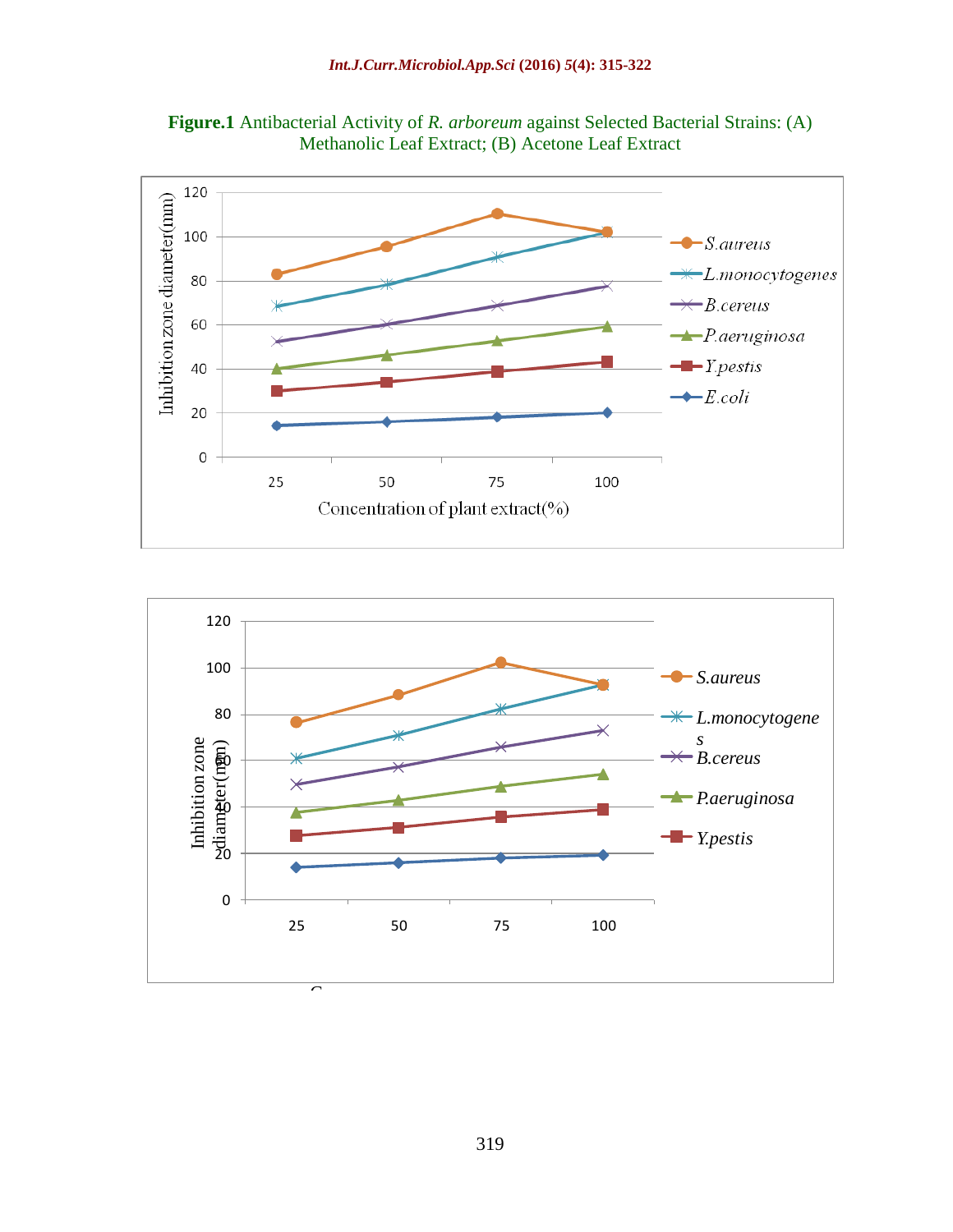



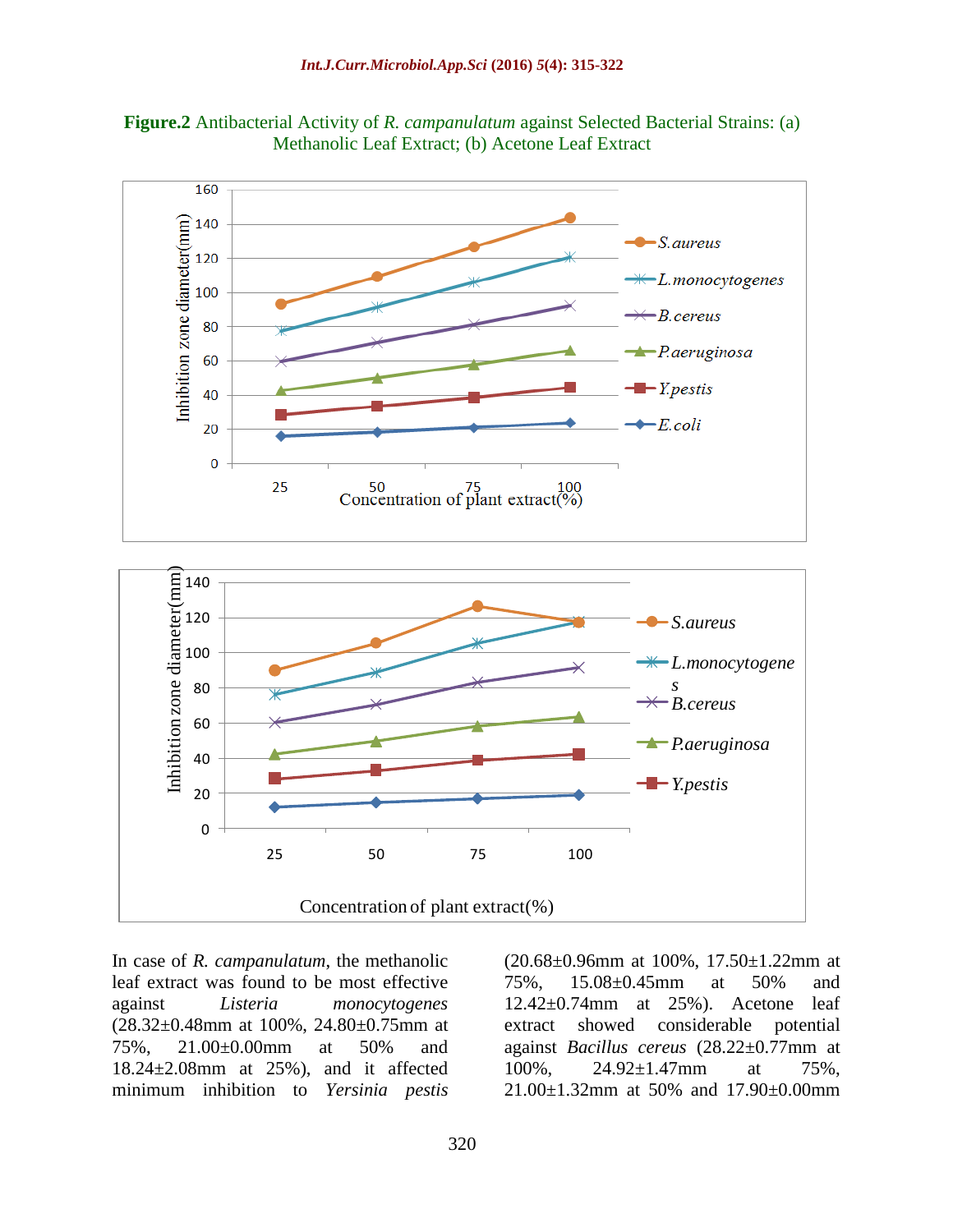



In case of *R. campanulatum*, the methanolic leaf extract was found to be most effective against *Listeria monocytogenes*  (28.32±0.48mm at 100%, 24.80±0.75mm at 75%, 21.00±0.00mm at 50% and 18.24±2.08mm at 25%), and it affected minimum inhibition to *Yersinia pestis* 

(20.68±0.96mm at 100%, 17.50±1.22mm at 75%, 15.08±0.45mm at 50% and 12.42±0.74mm at 25%). Acetone leaf extract showed considerable potential against *Bacillus cereus* (28.22±0.77mm at 100%, 24.92±1.47mm at 75%, 21.00±1.32mm at 50% and 17.90±0.00mm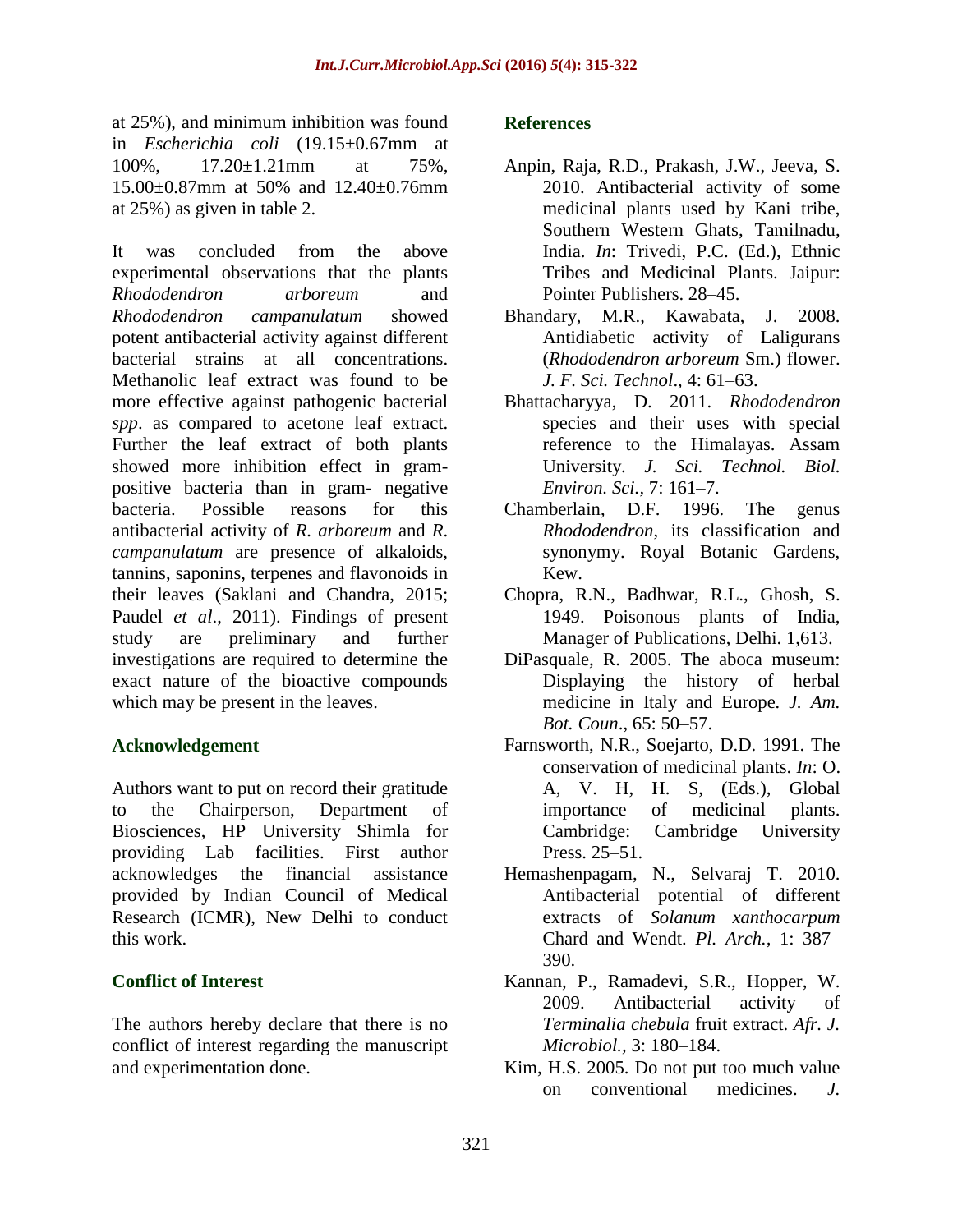at 25%), and minimum inhibition was found in *Escherichia coli* (19.15±0.67mm at 100%, 17.20±1.21mm at 75%, 15.00±0.87mm at 50% and 12.40±0.76mm at 25%) as given in table 2.

It was concluded from the above experimental observations that the plants *Rhododendron arboreum* and *Rhododendron campanulatum* showed potent antibacterial activity against different bacterial strains at all concentrations. Methanolic leaf extract was found to be more effective against pathogenic bacterial *spp*. as compared to acetone leaf extract. Further the leaf extract of both plants showed more inhibition effect in grampositive bacteria than in gram- negative bacteria. Possible reasons for this antibacterial activity of *R. arboreum* and *R*. *campanulatum* are presence of alkaloids, tannins, saponins, terpenes and flavonoids in their leaves (Saklani and Chandra, 2015; Paudel *et al*., 2011). Findings of present study are preliminary and further investigations are required to determine the exact nature of the bioactive compounds which may be present in the leaves.

## **Acknowledgement**

Authors want to put on record their gratitude to the Chairperson, Department of Biosciences, HP University Shimla for providing Lab facilities. First author acknowledges the financial assistance provided by Indian Council of Medical Research (ICMR), New Delhi to conduct this work.

## **Conflict of Interest**

The authors hereby declare that there is no conflict of interest regarding the manuscript and experimentation done.

#### **References**

- Anpin, Raja, R.D., Prakash, J.W., Jeeva, S. 2010. Antibacterial activity of some medicinal plants used by Kani tribe, Southern Western Ghats, Tamilnadu, India. *In*: Trivedi, P.C. (Ed.), Ethnic Tribes and Medicinal Plants. Jaipur: Pointer Publishers. 28–45.
- Bhandary, M.R., Kawabata, J. 2008. Antidiabetic activity of Laligurans (*Rhododendron arboreum* Sm.) flower. *J. F. Sci. Technol*., 4: 61–63.
- Bhattacharyya, D. 2011. *Rhododendron*  species and their uses with special reference to the Himalayas. Assam University. *J. Sci. Technol. Biol. Environ. Sci.,* 7: 161–7.
- Chamberlain, D.F. 1996. The genus *Rhododendron*, its classification and synonymy. Royal Botanic Gardens, Kew.
- Chopra, R.N., Badhwar, R.L., Ghosh, S. 1949. Poisonous plants of India, Manager of Publications, Delhi. 1,613.
- DiPasquale, R. 2005. The aboca museum: Displaying the history of herbal medicine in Italy and Europe*. J. Am. Bot. Coun*., 65: 50–57.
- Farnsworth, N.R., Soejarto, D.D. 1991. The conservation of medicinal plants. *In*: O. A, V. H, H. S, (Eds.), Global importance of medicinal plants. Cambridge: Cambridge University Press. 25–51.
- Hemashenpagam, N., Selvaraj T. 2010. Antibacterial potential of different extracts of *Solanum xanthocarpum* Chard and Wendt. *Pl. Arch.,* 1: 387– 390.
- Kannan, P., Ramadevi, S.R., Hopper, W. 2009. Antibacterial activity of *Terminalia chebula* fruit extract. *Afr. J. Microbiol.,* 3: 180–184.
- Kim, H.S. 2005. Do not put too much value on conventional medicines. *J.*